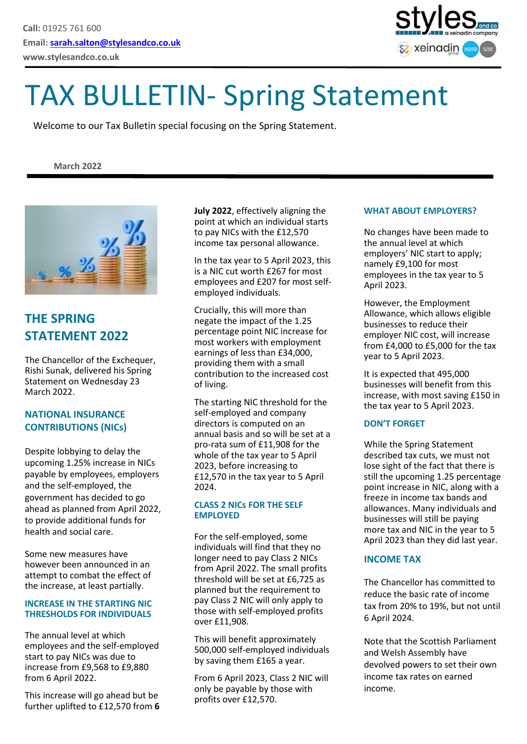

# TAX BULLETIN- Spring Statement

Welcome to our Tax Bulletin special focusing on the Spring Statement.

#### **March 2022**



## **THE SPRING STATEMENT 2022**

The Chancellor of the Exchequer, Rishi Sunak, delivered his Spring Statement on Wednesday 23 March 2022.

#### **NATIONAL INSURANCE CONTRIBUTIONS (NICs)**

Despite lobbying to delay the upcoming 1.25% increase in NICs payable by employees, employers and the self-employed, the government has decided to go ahead as planned from April 2022, to provide additional funds for health and social care.

Some new measures have however been announced in an attempt to combat the effect of the increase, at least partially.

#### **INCREASE IN THE STARTING NIC THRESHOLDS FOR INDIVIDUALS**

The annual level at which employees and the self-employed start to pay NICs was due to increase from £9,568 to £9,880 from 6 April 2022.

This increase will go ahead but be further uplifted to £12,570 from **6**  **July 2022**, effectively aligning the point at which an individual starts to pay NICs with the £12,570 income tax personal allowance.

In the tax year to 5 April 2023, this is a NIC cut worth £267 for most employees and £207 for most selfemployed individuals.

Crucially, this will more than negate the impact of the 1.25 percentage point NIC increase for most workers with employment earnings of less than £34,000, providing them with a small contribution to the increased cost of living.

The starting NIC threshold for the self-employed and company directors is computed on an annual basis and so will be set at a pro-rata sum of £11,908 for the whole of the tax year to 5 April 2023, before increasing to £12,570 in the tax year to 5 April 2024.

#### **CLASS 2 NICs FOR THE SELF EMPLOYED**

For the self-employed, some individuals will find that they no longer need to pay Class 2 NICs from April 2022. The small profits threshold will be set at £6,725 as planned but the requirement to pay Class 2 NIC will only apply to those with self-employed profits over £11,908.

This will benefit approximately 500,000 self-employed individuals by saving them £165 a year.

From 6 April 2023, Class 2 NIC will only be payable by those with profits over £12,570.

#### **WHAT ABOUT EMPLOYERS?**

No changes have been made to the annual level at which employers' NIC start to apply; namely £9,100 for most employees in the tax year to 5 April 2023.

However, the Employment Allowance, which allows eligible businesses to reduce their employer NIC cost, will increase from £4,000 to £5,000 for the tax year to 5 April 2023.

It is expected that 495,000 businesses will benefit from this increase, with most saving £150 in the tax year to 5 April 2023.

#### **DON'T FORGET**

While the Spring Statement described tax cuts, we must not lose sight of the fact that there is still the upcoming 1.25 percentage point increase in NIC, along with a freeze in income tax bands and allowances. Many individuals and businesses will still be paying more tax and NIC in the year to 5 April 2023 than they did last year.

#### **INCOME TAX**

The Chancellor has committed to reduce the basic rate of income tax from 20% to 19%, but not until 6 April 2024.

Note that the Scottish Parliament and Welsh Assembly have devolved powers to set their own income tax rates on earned income.